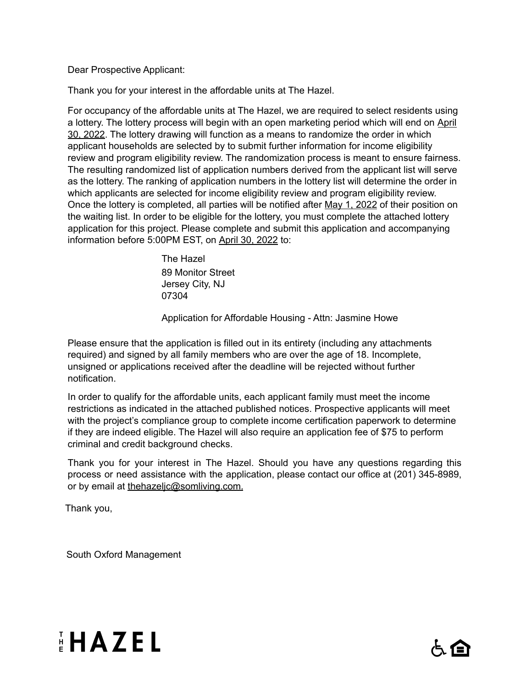#### Dear Prospective Applicant:

Thank you for your interest in the affordable units at The Hazel.

For occupancy of the affordable units at The Hazel, we are required to select residents using a lottery. The lottery process will begin with an open marketing period which will end on April 30, 2022. The lottery drawing will function as a means to randomize the order in which applicant households are selected by to submit further information for income eligibility review and program eligibility review. The randomization process is meant to ensure fairness. The resulting randomized list of application numbers derived from the applicant list will serve as the lottery. The ranking of application numbers in the lottery list will determine the order in which applicants are selected for income eligibility review and program eligibility review. Once the lottery is completed, all parties will be notified after May 1, 2022 of their position on the waiting list. In order to be eligible for the lottery, you must complete the attached lottery application for this project. Please complete and submit this application and accompanying information before 5:00PM EST, on April 30, 2022 to:

> The Hazel 89 Monitor Street Jersey City, NJ 07304

Application for Affordable Housing - Attn: Jasmine Howe

Please ensure that the application is filled out in its entirety (including any attachments required) and signed by all family members who are over the age of 18. Incomplete, unsigned or applications received after the deadline will be rejected without further notification.

In order to qualify for the affordable units, each applicant family must meet the income restrictions as indicated in the attached published notices. Prospective applicants will meet with the project's compliance group to complete income certification paperwork to determine if they are indeed eligible. The Hazel will also require an application fee of \$75 to perform criminal and credit background checks.

Thank you for your interest in The Hazel. Should you have any questions regarding this process or need assistance with the application, please contact our office at (201) 345-8989, or by email at thehazeljc@somliving.com.

Thank you,

South Oxford Management



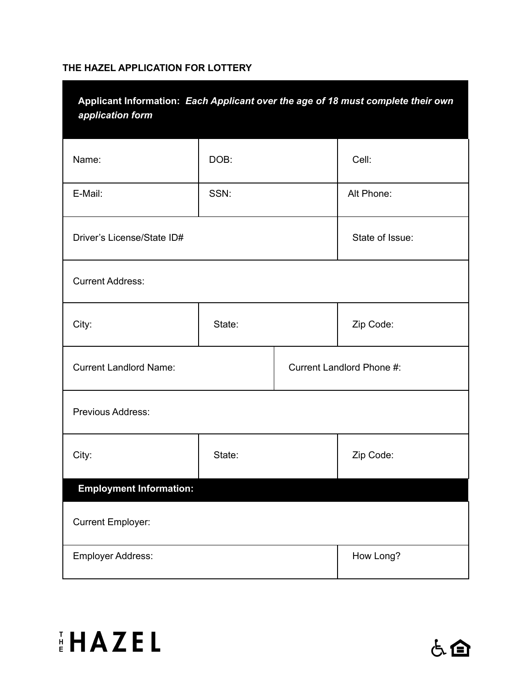### **THE HAZEL APPLICATION FOR LOTTERY**

| Applicant Information: Each Applicant over the age of 18 must complete their own<br>application form |        |  |            |  |  |
|------------------------------------------------------------------------------------------------------|--------|--|------------|--|--|
| Name:                                                                                                | DOB:   |  | Cell:      |  |  |
| E-Mail:                                                                                              | SSN:   |  | Alt Phone: |  |  |
| State of Issue:<br>Driver's License/State ID#                                                        |        |  |            |  |  |
| <b>Current Address:</b>                                                                              |        |  |            |  |  |
| City:                                                                                                | State: |  | Zip Code:  |  |  |
| <b>Current Landlord Name:</b><br>Current Landlord Phone #:                                           |        |  |            |  |  |
| Previous Address:                                                                                    |        |  |            |  |  |
| City:                                                                                                | State: |  | Zip Code:  |  |  |
| <b>Employment Information:</b>                                                                       |        |  |            |  |  |
| <b>Current Employer:</b>                                                                             |        |  |            |  |  |
| How Long?<br>Employer Address:                                                                       |        |  |            |  |  |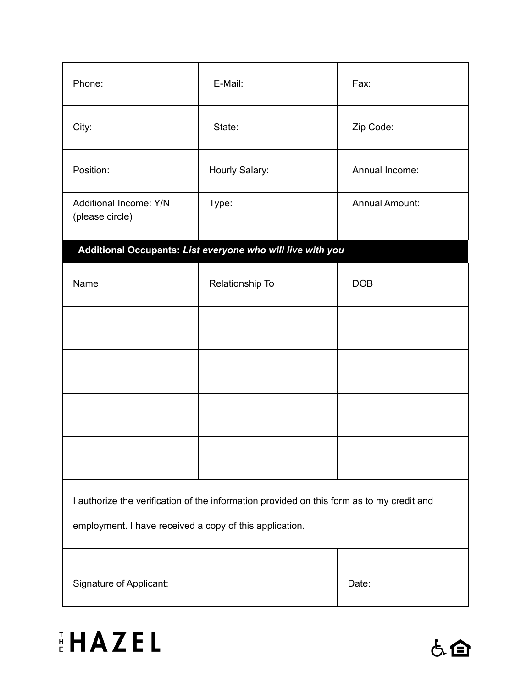| Phone:                                                                                    | E-Mail:                                                    | Fax:                  |  |  |
|-------------------------------------------------------------------------------------------|------------------------------------------------------------|-----------------------|--|--|
| City:                                                                                     | State:                                                     | Zip Code:             |  |  |
| Position:                                                                                 | Hourly Salary:                                             | Annual Income:        |  |  |
| Additional Income: Y/N<br>(please circle)                                                 | Type:                                                      | <b>Annual Amount:</b> |  |  |
|                                                                                           | Additional Occupants: List everyone who will live with you |                       |  |  |
| Name                                                                                      | Relationship To                                            | <b>DOB</b>            |  |  |
|                                                                                           |                                                            |                       |  |  |
|                                                                                           |                                                            |                       |  |  |
|                                                                                           |                                                            |                       |  |  |
|                                                                                           |                                                            |                       |  |  |
| I authorize the verification of the information provided on this form as to my credit and |                                                            |                       |  |  |
| employment. I have received a copy of this application.                                   |                                                            |                       |  |  |
| Signature of Applicant:                                                                   | Date:                                                      |                       |  |  |



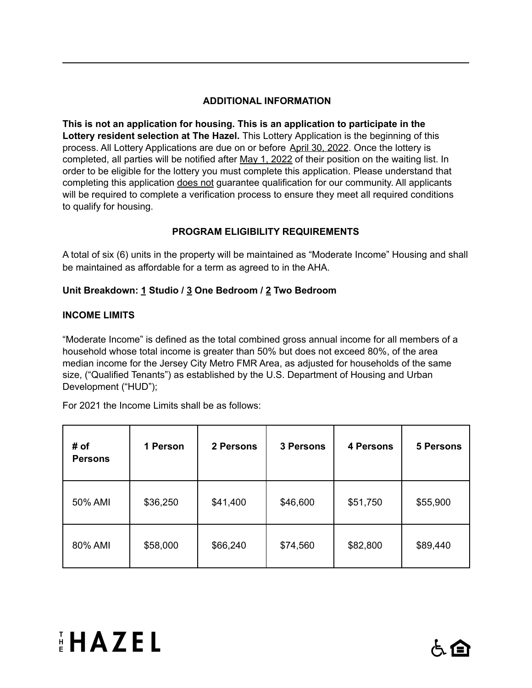## **ADDITIONAL INFORMATION**

**This is not an application for housing. This is an application to participate in the Lottery resident selection at The Hazel.** This Lottery Application is the beginning of this process. All Lottery Applications are due on or before April 30, 2022. Once the lottery is completed, all parties will be notified after May 1, 2022 of their position on the waiting list. In order to be eligible for the lottery you must complete this application. Please understand that completing this application does not guarantee qualification for our community. All applicants will be required to complete a verification process to ensure they meet all required conditions to qualify for housing.

## **PROGRAM ELIGIBILITY REQUIREMENTS**

A total of six (6) units in the property will be maintained as "Moderate Income" Housing and shall be maintained as affordable for a term as agreed to in the AHA.

### **Unit Breakdown: 1 Studio / 3 One Bedroom / 2 Two Bedroom**

### **INCOME LIMITS**

"Moderate Income" is defined as the total combined gross annual income for all members of a household whose total income is greater than 50% but does not exceed 80%, of the area median income for the Jersey City Metro FMR Area, as adjusted for households of the same size, ("Qualified Tenants") as established by the U.S. Department of Housing and Urban Development ("HUD");

For 2021 the Income Limits shall be as follows:

| # of<br><b>Persons</b> | 1 Person | 2 Persons | 3 Persons | <b>4 Persons</b> | <b>5 Persons</b> |
|------------------------|----------|-----------|-----------|------------------|------------------|
| 50% AMI                | \$36,250 | \$41,400  | \$46,600  | \$51,750         | \$55,900         |
| 80% AMI                | \$58,000 | \$66,240  | \$74,560  | \$82,800         | \$89,440         |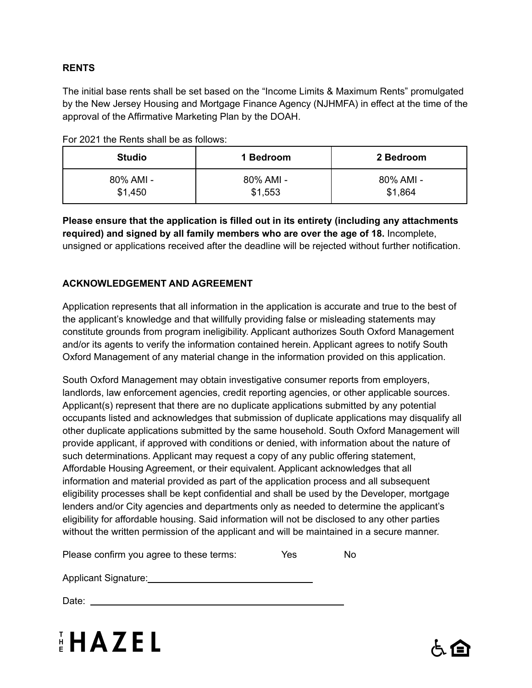## **RENTS**

The initial base rents shall be set based on the "Income Limits & Maximum Rents" promulgated by the New Jersey Housing and Mortgage Finance Agency (NJHMFA) in effect at the time of the approval of the Affirmative Marketing Plan by the DOAH.

|  |  |  | For 2021 the Rents shall be as follows: |
|--|--|--|-----------------------------------------|
|  |  |  |                                         |

| <b>Studio</b> | 1 Bedroom | 2 Bedroom |
|---------------|-----------|-----------|
| 80% AMI -     | 80% AMI - | 80% AMI - |
| \$1,450       | \$1,553   | \$1,864   |

**Please ensure that the application is filled out in its entirety (including any attachments required) and signed by all family members who are over the age of 18.** Incomplete, unsigned or applications received after the deadline will be rejected without further notification.

## **ACKNOWLEDGEMENT AND AGREEMENT**

Application represents that all information in the application is accurate and true to the best of the applicant's knowledge and that willfully providing false or misleading statements may constitute grounds from program ineligibility. Applicant authorizes South Oxford Management and/or its agents to verify the information contained herein. Applicant agrees to notify South Oxford Management of any material change in the information provided on this application.

South Oxford Management may obtain investigative consumer reports from employers, landlords, law enforcement agencies, credit reporting agencies, or other applicable sources. Applicant(s) represent that there are no duplicate applications submitted by any potential occupants listed and acknowledges that submission of duplicate applications may disqualify all other duplicate applications submitted by the same household. South Oxford Management will provide applicant, if approved with conditions or denied, with information about the nature of such determinations. Applicant may request a copy of any public offering statement, Affordable Housing Agreement, or their equivalent. Applicant acknowledges that all information and material provided as part of the application process and all subsequent eligibility processes shall be kept confidential and shall be used by the Developer, mortgage lenders and/or City agencies and departments only as needed to determine the applicant's eligibility for affordable housing. Said information will not be disclosed to any other parties without the written permission of the applicant and will be maintained in a secure manner.

| Please confirm you agree to these terms: | Yes | No. |
|------------------------------------------|-----|-----|
|                                          |     |     |

Applicant Signature: Management Signature: Management Signature: Management Signature: Management Signature: Ma

Date: experience and the second state of the second state of the second state of the second state of the second state of the second state of the second state of the second state of the second state of the second state of t



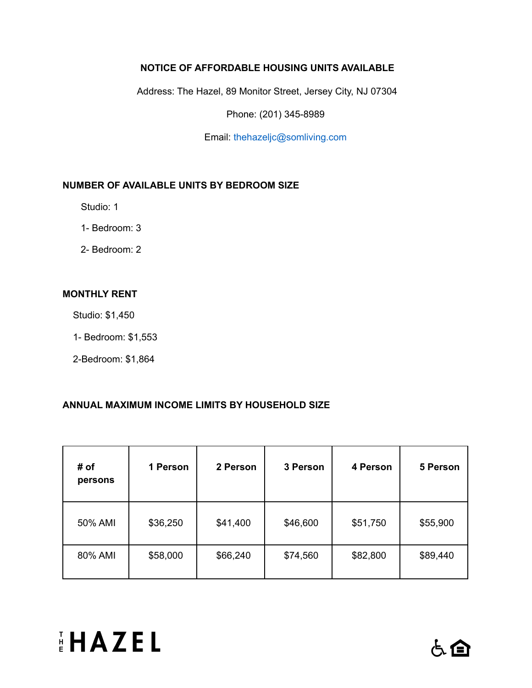## **NOTICE OF AFFORDABLE HOUSING UNITS AVAILABLE**

Address: The Hazel, 89 Monitor Street, Jersey City, NJ 07304

Phone: (201) 345-8989

Email: thehazeljc@somliving.com

#### **NUMBER OF AVAILABLE UNITS BY BEDROOM SIZE**

Studio: 1

- 1- Bedroom: 3
- 2- Bedroom: 2

#### **MONTHLY RENT**

Studio: \$1,450

- 1- Bedroom: \$1,553
- 2-Bedroom: \$1,864

### **ANNUAL MAXIMUM INCOME LIMITS BY HOUSEHOLD SIZE**

| # of<br>persons | 1 Person | 2 Person | 3 Person | 4 Person | 5 Person |
|-----------------|----------|----------|----------|----------|----------|
| 50% AMI         | \$36,250 | \$41,400 | \$46,600 | \$51,750 | \$55,900 |
| 80% AMI         | \$58,000 | \$66,240 | \$74,560 | \$82,800 | \$89,440 |